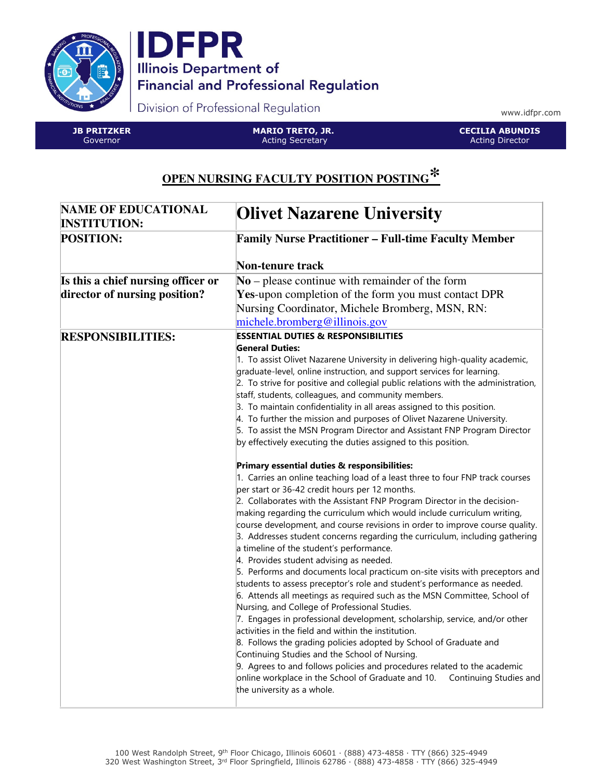



Division of Professional Regulation

www.idfpr.com

JB PRITZKER Governor

MARIO TRETO, JR. Acting Secretary

CECILIA ABUNDIS Acting Director

## **OPEN NURSING FACULTY POSITION POSTING\***

| <b>NAME OF EDUCATIONAL</b><br><b>INSTITUTION:</b> | <b>Olivet Nazarene University</b>                                                                                                                                                                                                           |
|---------------------------------------------------|---------------------------------------------------------------------------------------------------------------------------------------------------------------------------------------------------------------------------------------------|
| <b>POSITION:</b>                                  | <b>Family Nurse Practitioner - Full-time Faculty Member</b>                                                                                                                                                                                 |
|                                                   | Non-tenure track                                                                                                                                                                                                                            |
| Is this a chief nursing officer or                | $No$ – please continue with remainder of the form                                                                                                                                                                                           |
| director of nursing position?                     | <b>Yes-upon completion of the form you must contact DPR</b>                                                                                                                                                                                 |
|                                                   | Nursing Coordinator, Michele Bromberg, MSN, RN:                                                                                                                                                                                             |
|                                                   | michele.bromberg@illinois.gov                                                                                                                                                                                                               |
| <b>RESPONSIBILITIES:</b>                          | <b>ESSENTIAL DUTIES &amp; RESPONSIBILITIES</b>                                                                                                                                                                                              |
|                                                   | <b>General Duties:</b>                                                                                                                                                                                                                      |
|                                                   | 1. To assist Olivet Nazarene University in delivering high-quality academic,<br>graduate-level, online instruction, and support services for learning.<br>2. To strive for positive and collegial public relations with the administration, |
|                                                   | staff, students, colleagues, and community members.                                                                                                                                                                                         |
|                                                   | 3. To maintain confidentiality in all areas assigned to this position.                                                                                                                                                                      |
|                                                   | 4. To further the mission and purposes of Olivet Nazarene University.                                                                                                                                                                       |
|                                                   | 5. To assist the MSN Program Director and Assistant FNP Program Director<br>by effectively executing the duties assigned to this position.                                                                                                  |
|                                                   |                                                                                                                                                                                                                                             |
|                                                   | Primary essential duties & responsibilities:                                                                                                                                                                                                |
|                                                   | 1. Carries an online teaching load of a least three to four FNP track courses<br>per start or 36-42 credit hours per 12 months.                                                                                                             |
|                                                   | 2. Collaborates with the Assistant FNP Program Director in the decision-                                                                                                                                                                    |
|                                                   | making regarding the curriculum which would include curriculum writing,                                                                                                                                                                     |
|                                                   | course development, and course revisions in order to improve course quality.                                                                                                                                                                |
|                                                   | 3. Addresses student concerns regarding the curriculum, including gathering<br>a timeline of the student's performance.                                                                                                                     |
|                                                   | 4. Provides student advising as needed.                                                                                                                                                                                                     |
|                                                   | 5. Performs and documents local practicum on-site visits with preceptors and                                                                                                                                                                |
|                                                   | students to assess preceptor's role and student's performance as needed.                                                                                                                                                                    |
|                                                   | 6. Attends all meetings as required such as the MSN Committee, School of                                                                                                                                                                    |
|                                                   | Nursing, and College of Professional Studies.                                                                                                                                                                                               |
|                                                   | 7. Engages in professional development, scholarship, service, and/or other<br>activities in the field and within the institution.                                                                                                           |
|                                                   | 8. Follows the grading policies adopted by School of Graduate and                                                                                                                                                                           |
|                                                   | Continuing Studies and the School of Nursing.                                                                                                                                                                                               |
|                                                   | 9. Agrees to and follows policies and procedures related to the academic                                                                                                                                                                    |
|                                                   | online workplace in the School of Graduate and 10.<br>Continuing Studies and<br>the university as a whole.                                                                                                                                  |
|                                                   |                                                                                                                                                                                                                                             |